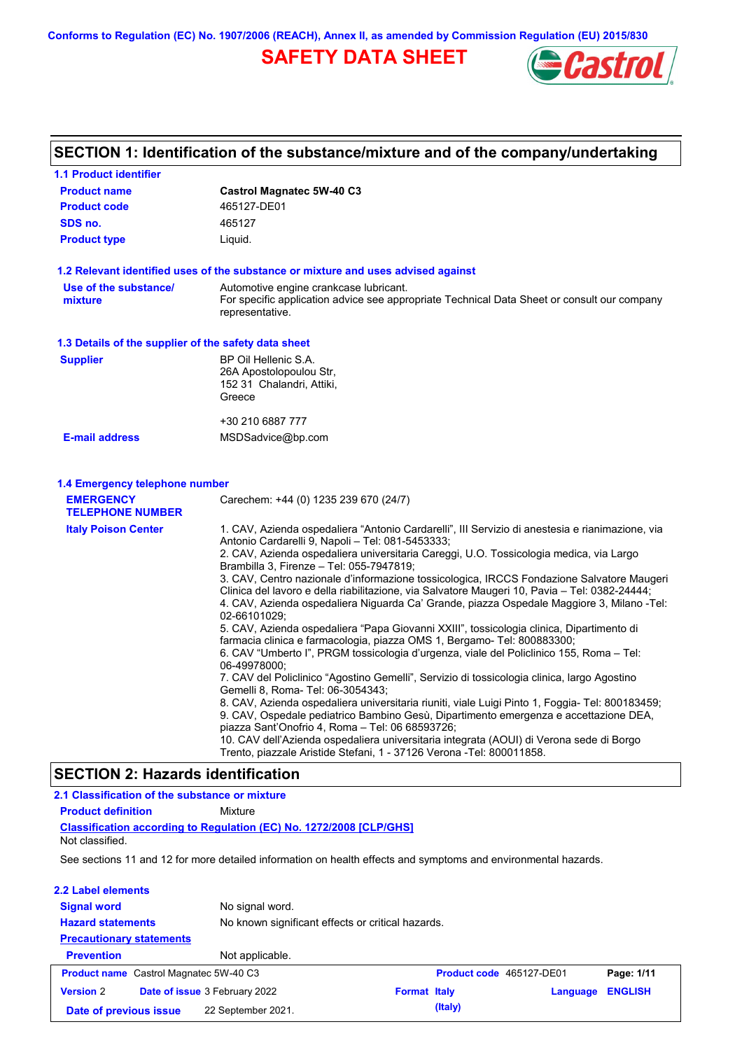**Conforms to Regulation (EC) No. 1907/2006 (REACH), Annex II, as amended by Commission Regulation (EU) 2015/830**

# **SAFETY DATA SHEET**



# **SECTION 1: Identification of the substance/mixture and of the company/undertaking**

| <b>1.1 Product identifier</b>                        |                                                                                                                                                                                                                                                                                                                                                                                                                                                                                                                                                                                                                                                                                                                                                                                                                                                                                                                                                                                                                                                                                                                                                                                                                                                                                                                                                                                                                                              |
|------------------------------------------------------|----------------------------------------------------------------------------------------------------------------------------------------------------------------------------------------------------------------------------------------------------------------------------------------------------------------------------------------------------------------------------------------------------------------------------------------------------------------------------------------------------------------------------------------------------------------------------------------------------------------------------------------------------------------------------------------------------------------------------------------------------------------------------------------------------------------------------------------------------------------------------------------------------------------------------------------------------------------------------------------------------------------------------------------------------------------------------------------------------------------------------------------------------------------------------------------------------------------------------------------------------------------------------------------------------------------------------------------------------------------------------------------------------------------------------------------------|
| <b>Product name</b>                                  | <b>Castrol Magnatec 5W-40 C3</b>                                                                                                                                                                                                                                                                                                                                                                                                                                                                                                                                                                                                                                                                                                                                                                                                                                                                                                                                                                                                                                                                                                                                                                                                                                                                                                                                                                                                             |
| <b>Product code</b>                                  | 465127-DE01                                                                                                                                                                                                                                                                                                                                                                                                                                                                                                                                                                                                                                                                                                                                                                                                                                                                                                                                                                                                                                                                                                                                                                                                                                                                                                                                                                                                                                  |
| SDS no.                                              | 465127                                                                                                                                                                                                                                                                                                                                                                                                                                                                                                                                                                                                                                                                                                                                                                                                                                                                                                                                                                                                                                                                                                                                                                                                                                                                                                                                                                                                                                       |
| <b>Product type</b>                                  | Liquid.                                                                                                                                                                                                                                                                                                                                                                                                                                                                                                                                                                                                                                                                                                                                                                                                                                                                                                                                                                                                                                                                                                                                                                                                                                                                                                                                                                                                                                      |
|                                                      | 1.2 Relevant identified uses of the substance or mixture and uses advised against                                                                                                                                                                                                                                                                                                                                                                                                                                                                                                                                                                                                                                                                                                                                                                                                                                                                                                                                                                                                                                                                                                                                                                                                                                                                                                                                                            |
| Use of the substance/<br>mixture                     | Automotive engine crankcase lubricant.<br>For specific application advice see appropriate Technical Data Sheet or consult our company<br>representative.                                                                                                                                                                                                                                                                                                                                                                                                                                                                                                                                                                                                                                                                                                                                                                                                                                                                                                                                                                                                                                                                                                                                                                                                                                                                                     |
| 1.3 Details of the supplier of the safety data sheet |                                                                                                                                                                                                                                                                                                                                                                                                                                                                                                                                                                                                                                                                                                                                                                                                                                                                                                                                                                                                                                                                                                                                                                                                                                                                                                                                                                                                                                              |
| <b>Supplier</b>                                      | BP Oil Hellenic S.A.<br>26A Apostolopoulou Str,<br>152 31 Chalandri, Attiki,<br>Greece                                                                                                                                                                                                                                                                                                                                                                                                                                                                                                                                                                                                                                                                                                                                                                                                                                                                                                                                                                                                                                                                                                                                                                                                                                                                                                                                                       |
|                                                      | +30 210 6887 777                                                                                                                                                                                                                                                                                                                                                                                                                                                                                                                                                                                                                                                                                                                                                                                                                                                                                                                                                                                                                                                                                                                                                                                                                                                                                                                                                                                                                             |
| <b>E-mail address</b>                                | MSDSadvice@bp.com                                                                                                                                                                                                                                                                                                                                                                                                                                                                                                                                                                                                                                                                                                                                                                                                                                                                                                                                                                                                                                                                                                                                                                                                                                                                                                                                                                                                                            |
| <b>EMERGENCY</b><br><b>TELEPHONE NUMBER</b>          | Carechem: +44 (0) 1235 239 670 (24/7)                                                                                                                                                                                                                                                                                                                                                                                                                                                                                                                                                                                                                                                                                                                                                                                                                                                                                                                                                                                                                                                                                                                                                                                                                                                                                                                                                                                                        |
|                                                      |                                                                                                                                                                                                                                                                                                                                                                                                                                                                                                                                                                                                                                                                                                                                                                                                                                                                                                                                                                                                                                                                                                                                                                                                                                                                                                                                                                                                                                              |
| <b>Italy Poison Center</b>                           | 1. CAV, Azienda ospedaliera "Antonio Cardarelli", III Servizio di anestesia e rianimazione, via<br>Antonio Cardarelli 9, Napoli - Tel: 081-5453333;<br>2. CAV, Azienda ospedaliera universitaria Careggi, U.O. Tossicologia medica, via Largo<br>Brambilla 3, Firenze - Tel: 055-7947819;<br>3. CAV, Centro nazionale d'informazione tossicologica, IRCCS Fondazione Salvatore Maugeri<br>Clinica del lavoro e della riabilitazione, via Salvatore Maugeri 10, Pavia – Tel: 0382-24444;<br>4. CAV, Azienda ospedaliera Niguarda Ca' Grande, piazza Ospedale Maggiore 3, Milano -Tel:<br>02-66101029;<br>5. CAV, Azienda ospedaliera "Papa Giovanni XXIII", tossicologia clinica, Dipartimento di<br>farmacia clinica e farmacologia, piazza OMS 1, Bergamo- Tel: 800883300;<br>6. CAV "Umberto I", PRGM tossicologia d'urgenza, viale del Policlinico 155, Roma – Tel:<br>06-49978000:<br>7. CAV del Policlinico "Agostino Gemelli", Servizio di tossicologia clinica, largo Agostino<br>Gemelli 8, Roma- Tel: 06-3054343;<br>8. CAV, Azienda ospedaliera universitaria riuniti, viale Luigi Pinto 1, Foggia- Tel: 800183459;<br>9. CAV, Ospedale pediatrico Bambino Gesù, Dipartimento emergenza e accettazione DEA,<br>piazza Sant'Onofrio 4, Roma - Tel: 06 68593726;<br>10. CAV dell'Azienda ospedaliera universitaria integrata (AOUI) di Verona sede di Borgo<br>Trento, piazzale Aristide Stefani, 1 - 37126 Verona - Tel: 800011858. |
| <b>SECTION 2: Hazards identification</b>             |                                                                                                                                                                                                                                                                                                                                                                                                                                                                                                                                                                                                                                                                                                                                                                                                                                                                                                                                                                                                                                                                                                                                                                                                                                                                                                                                                                                                                                              |
| 2.1 Classification of the substance or mixture       |                                                                                                                                                                                                                                                                                                                                                                                                                                                                                                                                                                                                                                                                                                                                                                                                                                                                                                                                                                                                                                                                                                                                                                                                                                                                                                                                                                                                                                              |

| Not classified.                               | Classification according to Regulation (EC) No. 1272/2008 [CLP/GHS]                                            |                     |         |                          |                |
|-----------------------------------------------|----------------------------------------------------------------------------------------------------------------|---------------------|---------|--------------------------|----------------|
|                                               | See sections 11 and 12 for more detailed information on health effects and symptoms and environmental hazards. |                     |         |                          |                |
| 2.2 Label elements                            |                                                                                                                |                     |         |                          |                |
| <b>Signal word</b>                            | No signal word.                                                                                                |                     |         |                          |                |
| <b>Hazard statements</b>                      | No known significant effects or critical hazards.                                                              |                     |         |                          |                |
| <b>Precautionary statements</b>               |                                                                                                                |                     |         |                          |                |
| <b>Prevention</b>                             | Not applicable.                                                                                                |                     |         |                          |                |
| <b>Product name</b> Castrol Magnatec 5W-40 C3 |                                                                                                                |                     |         | Product code 465127-DE01 | Page: 1/11     |
| <b>Version 2</b>                              | Date of issue 3 February 2022                                                                                  | <b>Format Italy</b> |         | Language                 | <b>ENGLISH</b> |
| Date of previous issue                        | 22 September 2021.                                                                                             |                     | (Italy) |                          |                |
|                                               |                                                                                                                |                     |         |                          |                |

**Product definition** Mixture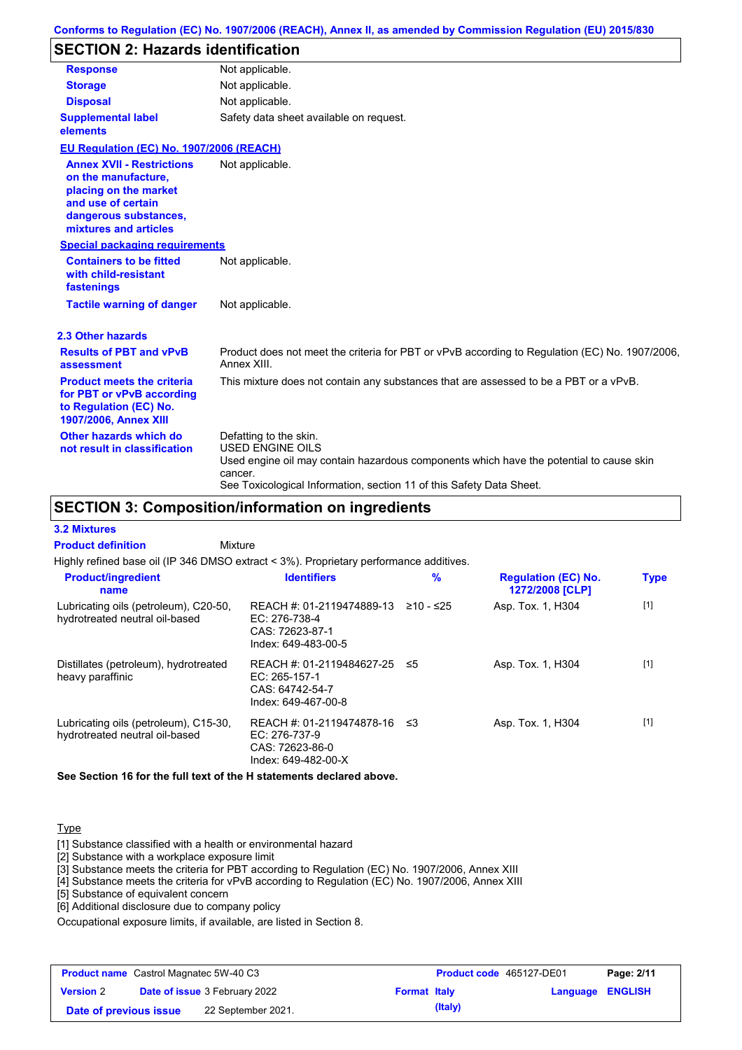# **SECTION 2: Hazards identification**

| <b>Response</b>                                                                                                                                          | Not applicable.                                                                                                                                                                                                                 |
|----------------------------------------------------------------------------------------------------------------------------------------------------------|---------------------------------------------------------------------------------------------------------------------------------------------------------------------------------------------------------------------------------|
| <b>Storage</b>                                                                                                                                           | Not applicable.                                                                                                                                                                                                                 |
| <b>Disposal</b>                                                                                                                                          | Not applicable.                                                                                                                                                                                                                 |
| <b>Supplemental label</b><br>elements                                                                                                                    | Safety data sheet available on request.                                                                                                                                                                                         |
| EU Regulation (EC) No. 1907/2006 (REACH)                                                                                                                 |                                                                                                                                                                                                                                 |
| <b>Annex XVII - Restrictions</b><br>on the manufacture,<br>placing on the market<br>and use of certain<br>dangerous substances,<br>mixtures and articles | Not applicable.                                                                                                                                                                                                                 |
| <b>Special packaging requirements</b>                                                                                                                    |                                                                                                                                                                                                                                 |
| <b>Containers to be fitted</b><br>with child-resistant<br>fastenings                                                                                     | Not applicable.                                                                                                                                                                                                                 |
| <b>Tactile warning of danger</b>                                                                                                                         | Not applicable.                                                                                                                                                                                                                 |
| 2.3 Other hazards                                                                                                                                        |                                                                                                                                                                                                                                 |
| <b>Results of PBT and vPvB</b><br>assessment                                                                                                             | Product does not meet the criteria for PBT or vPvB according to Regulation (EC) No. 1907/2006,<br>Annex XIII.                                                                                                                   |
| <b>Product meets the criteria</b><br>for PBT or vPvB according<br>to Regulation (EC) No.<br>1907/2006, Annex XIII                                        | This mixture does not contain any substances that are assessed to be a PBT or a vPvB.                                                                                                                                           |
| Other hazards which do<br>not result in classification                                                                                                   | Defatting to the skin.<br><b>USED ENGINE OILS</b><br>Used engine oil may contain hazardous components which have the potential to cause skin<br>cancer.<br>See Toxicological Information, section 11 of this Safety Data Sheet. |

## **SECTION 3: Composition/information on ingredients**

**3.2 Mixtures**

Mixture **Product definition**

Highly refined base oil (IP 346 DMSO extract < 3%). Proprietary performance additives.

| <b>Product/ingredient</b><br>name                                       | <b>Identifiers</b>                                                                   | $\%$      | <b>Regulation (EC) No.</b><br>1272/2008 [CLP] | <b>Type</b> |
|-------------------------------------------------------------------------|--------------------------------------------------------------------------------------|-----------|-----------------------------------------------|-------------|
| Lubricating oils (petroleum), C20-50,<br>hydrotreated neutral oil-based | REACH #: 01-2119474889-13<br>EC: 276-738-4<br>CAS: 72623-87-1<br>Index: 649-483-00-5 | ≥10 - ≤25 | Asp. Tox. 1, H304                             | $[1]$       |
| Distillates (petroleum), hydrotreated<br>heavy paraffinic               | REACH #: 01-2119484627-25<br>EC: 265-157-1<br>CAS: 64742-54-7<br>Index: 649-467-00-8 | -≤5       | Asp. Tox. 1, H304                             | $[1]$       |
| Lubricating oils (petroleum), C15-30,<br>hydrotreated neutral oil-based | REACH #: 01-2119474878-16<br>EC: 276-737-9<br>CAS: 72623-86-0<br>Index: 649-482-00-X | - ≤3      | Asp. Tox. 1, H304                             | $[1]$       |

**See Section 16 for the full text of the H statements declared above.**

### **Type**

[1] Substance classified with a health or environmental hazard

[2] Substance with a workplace exposure limit

[3] Substance meets the criteria for PBT according to Regulation (EC) No. 1907/2006, Annex XIII

[4] Substance meets the criteria for vPvB according to Regulation (EC) No. 1907/2006, Annex XIII

[5] Substance of equivalent concern

[6] Additional disclosure due to company policy

Occupational exposure limits, if available, are listed in Section 8.

| <b>Product name</b> Castrol Magnatec 5W-40 C3 |  | <b>Product code</b> 465127-DE01      |                     | Page: 2/11 |                  |  |
|-----------------------------------------------|--|--------------------------------------|---------------------|------------|------------------|--|
| <b>Version 2</b>                              |  | <b>Date of issue 3 February 2022</b> | <b>Format Italy</b> |            | Language ENGLISH |  |
| Date of previous issue                        |  | 22 September 2021.                   |                     | (Italy)    |                  |  |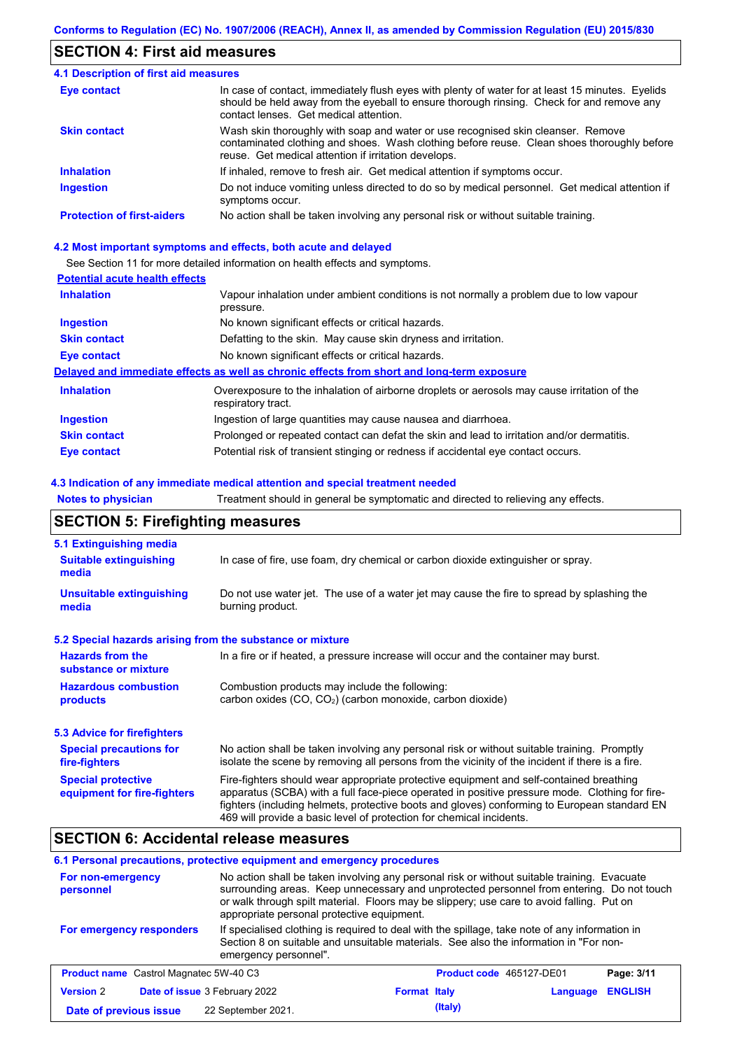## **SECTION 4: First aid measures**

| <b>4.1 Description of first aid measures</b> |                                                                                                                                                                                                                                         |
|----------------------------------------------|-----------------------------------------------------------------------------------------------------------------------------------------------------------------------------------------------------------------------------------------|
| <b>Eye contact</b>                           | In case of contact, immediately flush eyes with plenty of water for at least 15 minutes. Eyelids<br>should be held away from the eyeball to ensure thorough rinsing. Check for and remove any<br>contact lenses. Get medical attention. |
| <b>Skin contact</b>                          | Wash skin thoroughly with soap and water or use recognised skin cleanser. Remove<br>contaminated clothing and shoes. Wash clothing before reuse. Clean shoes thoroughly before<br>reuse. Get medical attention if irritation develops.  |
| <b>Inhalation</b>                            | If inhaled, remove to fresh air. Get medical attention if symptoms occur.                                                                                                                                                               |
| <b>Ingestion</b>                             | Do not induce vomiting unless directed to do so by medical personnel. Get medical attention if<br>symptoms occur.                                                                                                                       |
| <b>Protection of first-aiders</b>            | No action shall be taken involving any personal risk or without suitable training.                                                                                                                                                      |

### **4.2 Most important symptoms and effects, both acute and delayed**

See Section 11 for more detailed information on health effects and symptoms.

### **Potential acute health effects**

| <b>Inhalation</b>   | Vapour inhalation under ambient conditions is not normally a problem due to low vapour<br>pressure.               |
|---------------------|-------------------------------------------------------------------------------------------------------------------|
| <b>Ingestion</b>    | No known significant effects or critical hazards.                                                                 |
| <b>Skin contact</b> | Defatting to the skin. May cause skin dryness and irritation.                                                     |
| Eye contact         | No known significant effects or critical hazards.                                                                 |
|                     | Delayed and immediate effects as well as chronic effects from short and long-term exposure                        |
| <b>Inhalation</b>   | Overexposure to the inhalation of airborne droplets or aerosols may cause irritation of the<br>respiratory tract. |
| <b>Ingestion</b>    | Ingestion of large quantities may cause nausea and diarrhoea.                                                     |
| <b>Skin contact</b> | Prolonged or repeated contact can defat the skin and lead to irritation and/or dermatitis.                        |
| Eye contact         | Potential risk of transient stinging or redness if accidental eye contact occurs.                                 |

### **4.3 Indication of any immediate medical attention and special treatment needed**

**Notes to physician** Treatment should in general be symptomatic and directed to relieving any effects.

# **SECTION 5: Firefighting measures**

| 5.1 Extinguishing media                                   |                                                                                                                                                                                                                                                                                                                                                                   |
|-----------------------------------------------------------|-------------------------------------------------------------------------------------------------------------------------------------------------------------------------------------------------------------------------------------------------------------------------------------------------------------------------------------------------------------------|
| <b>Suitable extinguishing</b><br>media                    | In case of fire, use foam, dry chemical or carbon dioxide extinguisher or spray.                                                                                                                                                                                                                                                                                  |
| <b>Unsuitable extinguishing</b><br>media                  | Do not use water jet. The use of a water jet may cause the fire to spread by splashing the<br>burning product.                                                                                                                                                                                                                                                    |
| 5.2 Special hazards arising from the substance or mixture |                                                                                                                                                                                                                                                                                                                                                                   |
| <b>Hazards from the</b><br>substance or mixture           | In a fire or if heated, a pressure increase will occur and the container may burst.                                                                                                                                                                                                                                                                               |
| <b>Hazardous combustion</b><br>products                   | Combustion products may include the following:<br>carbon oxides (CO, CO <sub>2</sub> ) (carbon monoxide, carbon dioxide)                                                                                                                                                                                                                                          |
| 5.3 Advice for firefighters                               |                                                                                                                                                                                                                                                                                                                                                                   |
| <b>Special precautions for</b><br>fire-fighters           | No action shall be taken involving any personal risk or without suitable training. Promptly<br>isolate the scene by removing all persons from the vicinity of the incident if there is a fire.                                                                                                                                                                    |
| <b>Special protective</b><br>equipment for fire-fighters  | Fire-fighters should wear appropriate protective equipment and self-contained breathing<br>apparatus (SCBA) with a full face-piece operated in positive pressure mode. Clothing for fire-<br>fighters (including helmets, protective boots and gloves) conforming to European standard EN<br>469 will provide a basic level of protection for chemical incidents. |

## **SECTION 6: Accidental release measures**

### **6.1 Personal precautions, protective equipment and emergency procedures**

| For non-emergency<br>personnel                                                                                                                                                                                                               | No action shall be taken involving any personal risk or without suitable training. Evacuate<br>surrounding areas. Keep unnecessary and unprotected personnel from entering. Do not touch<br>or walk through spilt material. Floors may be slippery; use care to avoid falling. Put on<br>appropriate personal protective equipment. |                     |                                 |          |                |
|----------------------------------------------------------------------------------------------------------------------------------------------------------------------------------------------------------------------------------------------|-------------------------------------------------------------------------------------------------------------------------------------------------------------------------------------------------------------------------------------------------------------------------------------------------------------------------------------|---------------------|---------------------------------|----------|----------------|
| If specialised clothing is required to deal with the spillage, take note of any information in<br>For emergency responders<br>Section 8 on suitable and unsuitable materials. See also the information in "For non-<br>emergency personnel". |                                                                                                                                                                                                                                                                                                                                     |                     |                                 |          |                |
| <b>Product name</b> Castrol Magnatec 5W-40 C3                                                                                                                                                                                                |                                                                                                                                                                                                                                                                                                                                     |                     | <b>Product code</b> 465127-DE01 |          | Page: 3/11     |
| <b>Version 2</b>                                                                                                                                                                                                                             | Date of issue 3 February 2022                                                                                                                                                                                                                                                                                                       | <b>Format Italy</b> |                                 | Language | <b>ENGLISH</b> |
| Date of previous issue                                                                                                                                                                                                                       | 22 September 2021.                                                                                                                                                                                                                                                                                                                  |                     | (Italy)                         |          |                |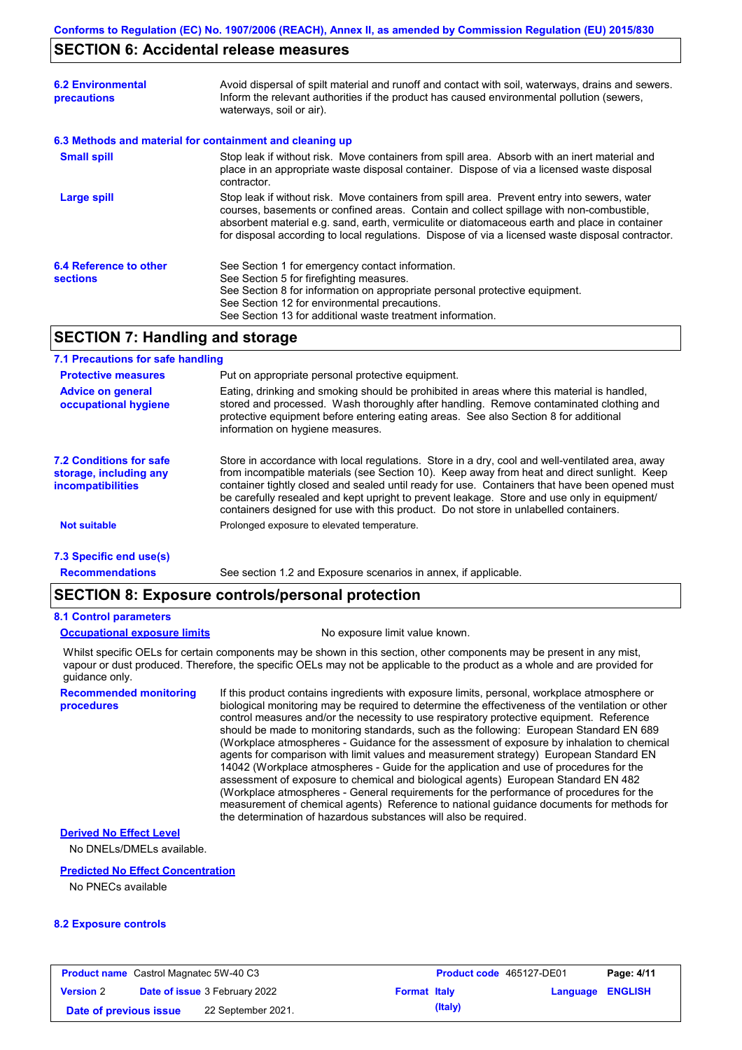## **SECTION 6: Accidental release measures**

| <b>6.2 Environmental</b><br>precautions   | Avoid dispersal of spilt material and runoff and contact with soil, waterways, drains and sewers.<br>Inform the relevant authorities if the product has caused environmental pollution (sewers,<br>waterways, soil or air).                                                                                                                                                                    |
|-------------------------------------------|------------------------------------------------------------------------------------------------------------------------------------------------------------------------------------------------------------------------------------------------------------------------------------------------------------------------------------------------------------------------------------------------|
|                                           | 6.3 Methods and material for containment and cleaning up                                                                                                                                                                                                                                                                                                                                       |
| <b>Small spill</b>                        | Stop leak if without risk. Move containers from spill area. Absorb with an inert material and<br>place in an appropriate waste disposal container. Dispose of via a licensed waste disposal<br>contractor.                                                                                                                                                                                     |
| <b>Large spill</b>                        | Stop leak if without risk. Move containers from spill area. Prevent entry into sewers, water<br>courses, basements or confined areas. Contain and collect spillage with non-combustible,<br>absorbent material e.g. sand, earth, vermiculite or diatomaceous earth and place in container<br>for disposal according to local regulations. Dispose of via a licensed waste disposal contractor. |
| 6.4 Reference to other<br><b>sections</b> | See Section 1 for emergency contact information.<br>See Section 5 for firefighting measures.<br>See Section 8 for information on appropriate personal protective equipment.<br>See Section 12 for environmental precautions.<br>See Section 13 for additional waste treatment information.                                                                                                     |

## **SECTION 7: Handling and storage**

#### **7.1 Precautions for safe handling**

| <b>Protective measures</b>                                                           | Put on appropriate personal protective equipment.                                                                                                                                                                                                                                                                                                                                                                                                                                        |
|--------------------------------------------------------------------------------------|------------------------------------------------------------------------------------------------------------------------------------------------------------------------------------------------------------------------------------------------------------------------------------------------------------------------------------------------------------------------------------------------------------------------------------------------------------------------------------------|
| <b>Advice on general</b><br>occupational hygiene                                     | Eating, drinking and smoking should be prohibited in areas where this material is handled,<br>stored and processed. Wash thoroughly after handling. Remove contaminated clothing and<br>protective equipment before entering eating areas. See also Section 8 for additional<br>information on hygiene measures.                                                                                                                                                                         |
| <b>7.2 Conditions for safe</b><br>storage, including any<br><i>incompatibilities</i> | Store in accordance with local requlations. Store in a dry, cool and well-ventilated area, away<br>from incompatible materials (see Section 10). Keep away from heat and direct sunlight. Keep<br>container tightly closed and sealed until ready for use. Containers that have been opened must<br>be carefully resealed and kept upright to prevent leakage. Store and use only in equipment/<br>containers designed for use with this product. Do not store in unlabelled containers. |
| <b>Not suitable</b>                                                                  | Prolonged exposure to elevated temperature.                                                                                                                                                                                                                                                                                                                                                                                                                                              |
| 7.3 Specific end use(s)                                                              |                                                                                                                                                                                                                                                                                                                                                                                                                                                                                          |

See section 1.2 and Exposure scenarios in annex, if applicable.

**Recommendations**

# **SECTION 8: Exposure controls/personal protection**

### **8.1 Control parameters**

**procedures**

#### **Occupational exposure limits** No exposure limit value known.

Whilst specific OELs for certain components may be shown in this section, other components may be present in any mist, vapour or dust produced. Therefore, the specific OELs may not be applicable to the product as a whole and are provided for guidance only.

**Recommended monitoring**  If this product contains ingredients with exposure limits, personal, workplace atmosphere or biological monitoring may be required to determine the effectiveness of the ventilation or other control measures and/or the necessity to use respiratory protective equipment. Reference should be made to monitoring standards, such as the following: European Standard EN 689 (Workplace atmospheres - Guidance for the assessment of exposure by inhalation to chemical agents for comparison with limit values and measurement strategy) European Standard EN 14042 (Workplace atmospheres - Guide for the application and use of procedures for the assessment of exposure to chemical and biological agents) European Standard EN 482 (Workplace atmospheres - General requirements for the performance of procedures for the measurement of chemical agents) Reference to national guidance documents for methods for the determination of hazardous substances will also be required.

## **Derived No Effect Level**

No DNELs/DMELs available.

#### **Predicted No Effect Concentration**

No PNECs available

### **8.2 Exposure controls**

| <b>Product name</b> Castrol Magnatec 5W-40 C3 |  | <b>Product code</b> 465127-DE01      |                     | Page: 4/11 |                         |  |
|-----------------------------------------------|--|--------------------------------------|---------------------|------------|-------------------------|--|
| <b>Version 2</b>                              |  | <b>Date of issue 3 February 2022</b> | <b>Format Italy</b> |            | <b>Language ENGLISH</b> |  |
| 22 September 2021.<br>Date of previous issue  |  |                                      | (Italy)             |            |                         |  |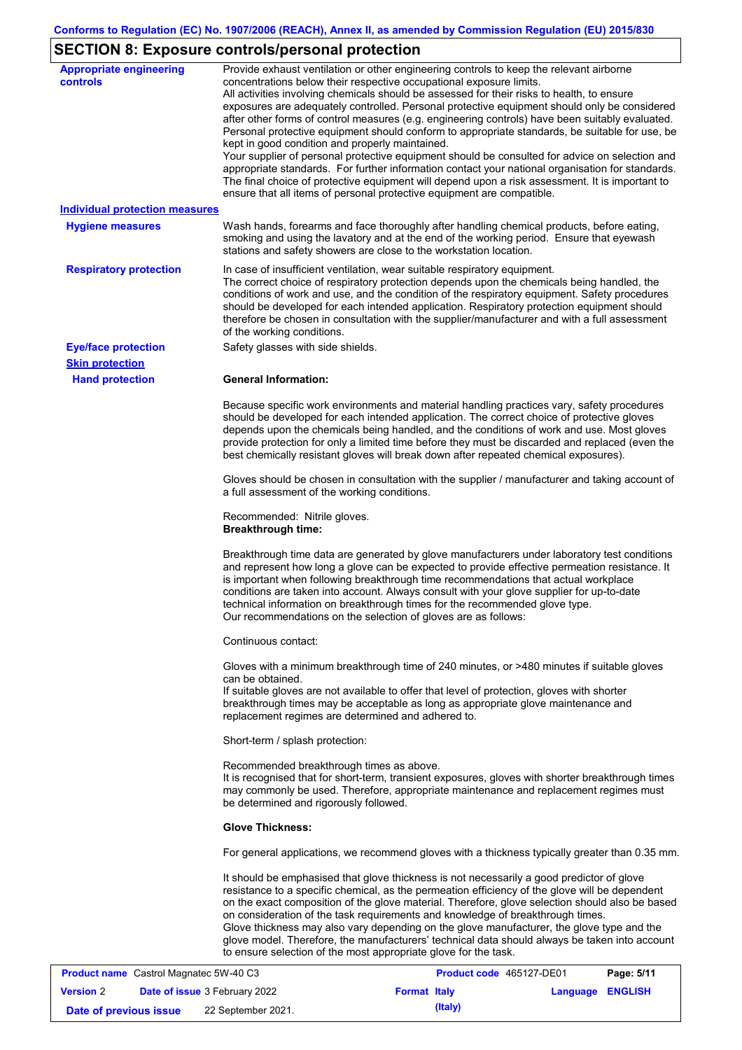# **SECTION 8: Exposure controls/personal protection**

| <b>Appropriate engineering</b><br><b>controls</b> | Provide exhaust ventilation or other engineering controls to keep the relevant airborne<br>concentrations below their respective occupational exposure limits.<br>All activities involving chemicals should be assessed for their risks to health, to ensure<br>exposures are adequately controlled. Personal protective equipment should only be considered<br>after other forms of control measures (e.g. engineering controls) have been suitably evaluated.<br>Personal protective equipment should conform to appropriate standards, be suitable for use, be<br>kept in good condition and properly maintained.<br>Your supplier of personal protective equipment should be consulted for advice on selection and<br>appropriate standards. For further information contact your national organisation for standards.<br>The final choice of protective equipment will depend upon a risk assessment. It is important to<br>ensure that all items of personal protective equipment are compatible. |
|---------------------------------------------------|---------------------------------------------------------------------------------------------------------------------------------------------------------------------------------------------------------------------------------------------------------------------------------------------------------------------------------------------------------------------------------------------------------------------------------------------------------------------------------------------------------------------------------------------------------------------------------------------------------------------------------------------------------------------------------------------------------------------------------------------------------------------------------------------------------------------------------------------------------------------------------------------------------------------------------------------------------------------------------------------------------|
| <b>Individual protection measures</b>             |                                                                                                                                                                                                                                                                                                                                                                                                                                                                                                                                                                                                                                                                                                                                                                                                                                                                                                                                                                                                         |
| <b>Hygiene measures</b>                           | Wash hands, forearms and face thoroughly after handling chemical products, before eating,<br>smoking and using the lavatory and at the end of the working period. Ensure that eyewash<br>stations and safety showers are close to the workstation location.                                                                                                                                                                                                                                                                                                                                                                                                                                                                                                                                                                                                                                                                                                                                             |
| <b>Respiratory protection</b>                     | In case of insufficient ventilation, wear suitable respiratory equipment.<br>The correct choice of respiratory protection depends upon the chemicals being handled, the<br>conditions of work and use, and the condition of the respiratory equipment. Safety procedures<br>should be developed for each intended application. Respiratory protection equipment should<br>therefore be chosen in consultation with the supplier/manufacturer and with a full assessment<br>of the working conditions.                                                                                                                                                                                                                                                                                                                                                                                                                                                                                                   |
| <b>Eye/face protection</b>                        | Safety glasses with side shields.                                                                                                                                                                                                                                                                                                                                                                                                                                                                                                                                                                                                                                                                                                                                                                                                                                                                                                                                                                       |
| <b>Skin protection</b>                            |                                                                                                                                                                                                                                                                                                                                                                                                                                                                                                                                                                                                                                                                                                                                                                                                                                                                                                                                                                                                         |
| <b>Hand protection</b>                            | <b>General Information:</b>                                                                                                                                                                                                                                                                                                                                                                                                                                                                                                                                                                                                                                                                                                                                                                                                                                                                                                                                                                             |
|                                                   | Because specific work environments and material handling practices vary, safety procedures<br>should be developed for each intended application. The correct choice of protective gloves<br>depends upon the chemicals being handled, and the conditions of work and use. Most gloves<br>provide protection for only a limited time before they must be discarded and replaced (even the<br>best chemically resistant gloves will break down after repeated chemical exposures).                                                                                                                                                                                                                                                                                                                                                                                                                                                                                                                        |
|                                                   | Gloves should be chosen in consultation with the supplier / manufacturer and taking account of<br>a full assessment of the working conditions.                                                                                                                                                                                                                                                                                                                                                                                                                                                                                                                                                                                                                                                                                                                                                                                                                                                          |
|                                                   | Recommended: Nitrile gloves.<br><b>Breakthrough time:</b>                                                                                                                                                                                                                                                                                                                                                                                                                                                                                                                                                                                                                                                                                                                                                                                                                                                                                                                                               |
|                                                   | Breakthrough time data are generated by glove manufacturers under laboratory test conditions<br>and represent how long a glove can be expected to provide effective permeation resistance. It<br>is important when following breakthrough time recommendations that actual workplace<br>conditions are taken into account. Always consult with your glove supplier for up-to-date<br>technical information on breakthrough times for the recommended glove type.<br>Our recommendations on the selection of gloves are as follows:                                                                                                                                                                                                                                                                                                                                                                                                                                                                      |
|                                                   | Continuous contact:                                                                                                                                                                                                                                                                                                                                                                                                                                                                                                                                                                                                                                                                                                                                                                                                                                                                                                                                                                                     |
|                                                   | Gloves with a minimum breakthrough time of 240 minutes, or >480 minutes if suitable gloves<br>can be obtained.<br>If suitable gloves are not available to offer that level of protection, gloves with shorter<br>breakthrough times may be acceptable as long as appropriate glove maintenance and<br>replacement regimes are determined and adhered to.                                                                                                                                                                                                                                                                                                                                                                                                                                                                                                                                                                                                                                                |
|                                                   | Short-term / splash protection:                                                                                                                                                                                                                                                                                                                                                                                                                                                                                                                                                                                                                                                                                                                                                                                                                                                                                                                                                                         |
|                                                   | Recommended breakthrough times as above.<br>It is recognised that for short-term, transient exposures, gloves with shorter breakthrough times<br>may commonly be used. Therefore, appropriate maintenance and replacement regimes must<br>be determined and rigorously followed.                                                                                                                                                                                                                                                                                                                                                                                                                                                                                                                                                                                                                                                                                                                        |
|                                                   | <b>Glove Thickness:</b>                                                                                                                                                                                                                                                                                                                                                                                                                                                                                                                                                                                                                                                                                                                                                                                                                                                                                                                                                                                 |
|                                                   | For general applications, we recommend gloves with a thickness typically greater than 0.35 mm.                                                                                                                                                                                                                                                                                                                                                                                                                                                                                                                                                                                                                                                                                                                                                                                                                                                                                                          |
|                                                   | It should be emphasised that glove thickness is not necessarily a good predictor of glove<br>resistance to a specific chemical, as the permeation efficiency of the glove will be dependent<br>on the exact composition of the glove material. Therefore, glove selection should also be based<br>on consideration of the task requirements and knowledge of breakthrough times.<br>Glove thickness may also vary depending on the glove manufacturer, the glove type and the<br>glove model. Therefore, the manufacturers' technical data should always be taken into account<br>to ensure selection of the most appropriate glove for the task.<br>0.00700                                                                                                                                                                                                                                                                                                                                            |

| <b>Product name</b> Castrol Magnatec 5W-40 C3 |  |                                      | Product code 465127-DE01 |         | Page: 5/11       |  |
|-----------------------------------------------|--|--------------------------------------|--------------------------|---------|------------------|--|
| <b>Version</b> 2                              |  | <b>Date of issue 3 February 2022</b> | <b>Format Italy</b>      |         | Language ENGLISH |  |
| Date of previous issue                        |  | 22 September 2021.                   |                          | (Italy) |                  |  |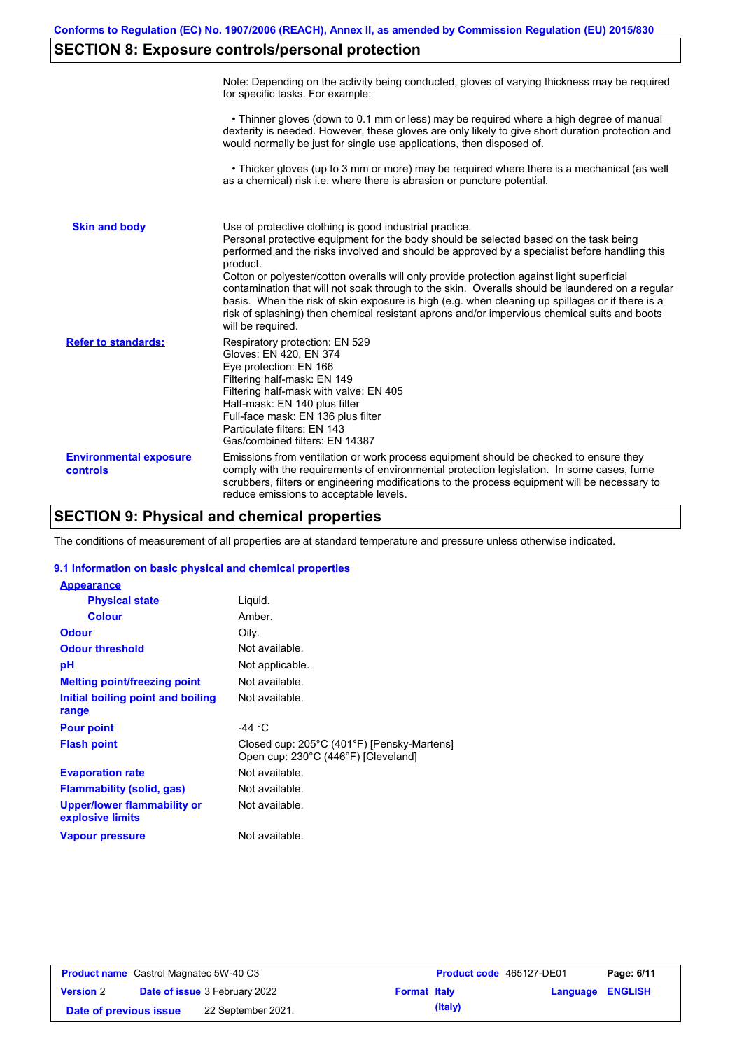# **SECTION 8: Exposure controls/personal protection**

|                                           | Note: Depending on the activity being conducted, gloves of varying thickness may be required<br>for specific tasks. For example:                                                                                                                                                                                                                                                                                                                                                                                                                                                                                                                                                      |
|-------------------------------------------|---------------------------------------------------------------------------------------------------------------------------------------------------------------------------------------------------------------------------------------------------------------------------------------------------------------------------------------------------------------------------------------------------------------------------------------------------------------------------------------------------------------------------------------------------------------------------------------------------------------------------------------------------------------------------------------|
|                                           | • Thinner gloves (down to 0.1 mm or less) may be required where a high degree of manual<br>dexterity is needed. However, these gloves are only likely to give short duration protection and<br>would normally be just for single use applications, then disposed of.                                                                                                                                                                                                                                                                                                                                                                                                                  |
|                                           | • Thicker gloves (up to 3 mm or more) may be required where there is a mechanical (as well<br>as a chemical) risk i.e. where there is abrasion or puncture potential.                                                                                                                                                                                                                                                                                                                                                                                                                                                                                                                 |
| <b>Skin and body</b>                      | Use of protective clothing is good industrial practice.<br>Personal protective equipment for the body should be selected based on the task being<br>performed and the risks involved and should be approved by a specialist before handling this<br>product.<br>Cotton or polyester/cotton overalls will only provide protection against light superficial<br>contamination that will not soak through to the skin. Overalls should be laundered on a regular<br>basis. When the risk of skin exposure is high (e.g. when cleaning up spillages or if there is a<br>risk of splashing) then chemical resistant aprons and/or impervious chemical suits and boots<br>will be required. |
| <b>Refer to standards:</b>                | Respiratory protection: EN 529<br>Gloves: EN 420, EN 374<br>Eye protection: EN 166<br>Filtering half-mask: EN 149<br>Filtering half-mask with valve: EN 405<br>Half-mask: EN 140 plus filter<br>Full-face mask: EN 136 plus filter<br>Particulate filters: EN 143<br>Gas/combined filters: EN 14387                                                                                                                                                                                                                                                                                                                                                                                   |
| <b>Environmental exposure</b><br>controls | Emissions from ventilation or work process equipment should be checked to ensure they<br>comply with the requirements of environmental protection legislation. In some cases, fume<br>scrubbers, filters or engineering modifications to the process equipment will be necessary to<br>reduce emissions to acceptable levels.                                                                                                                                                                                                                                                                                                                                                         |

# **SECTION 9: Physical and chemical properties**

The conditions of measurement of all properties are at standard temperature and pressure unless otherwise indicated.

### **9.1 Information on basic physical and chemical properties**

| <b>Appearance</b>                                      |                                                                                   |
|--------------------------------------------------------|-----------------------------------------------------------------------------------|
| <b>Physical state</b>                                  | Liquid.                                                                           |
| <b>Colour</b>                                          | Amber.                                                                            |
| <b>Odour</b>                                           | Oily.                                                                             |
| <b>Odour threshold</b>                                 | Not available.                                                                    |
| рH                                                     | Not applicable.                                                                   |
| <b>Melting point/freezing point</b>                    | Not available.                                                                    |
| Initial boiling point and boiling<br>range             | Not available.                                                                    |
| <b>Pour point</b>                                      | -44 $^{\circ}$ C                                                                  |
| <b>Flash point</b>                                     | Closed cup: 205°C (401°F) [Pensky-Martens]<br>Open cup: 230°C (446°F) [Cleveland] |
| <b>Evaporation rate</b>                                | Not available.                                                                    |
| <b>Flammability (solid, gas)</b>                       | Not available.                                                                    |
| <b>Upper/lower flammability or</b><br>explosive limits | Not available.                                                                    |
| <b>Vapour pressure</b>                                 | Not available.                                                                    |

| <b>Product name</b> Castrol Magnatec 5W-40 C3 |  |                                      | Product code 465127-DE01 |         | Page: 6/11              |  |
|-----------------------------------------------|--|--------------------------------------|--------------------------|---------|-------------------------|--|
| <b>Version 2</b>                              |  | <b>Date of issue 3 February 2022</b> | <b>Format Italy</b>      |         | <b>Language ENGLISH</b> |  |
| Date of previous issue                        |  | 22 September 2021.                   |                          | (Italy) |                         |  |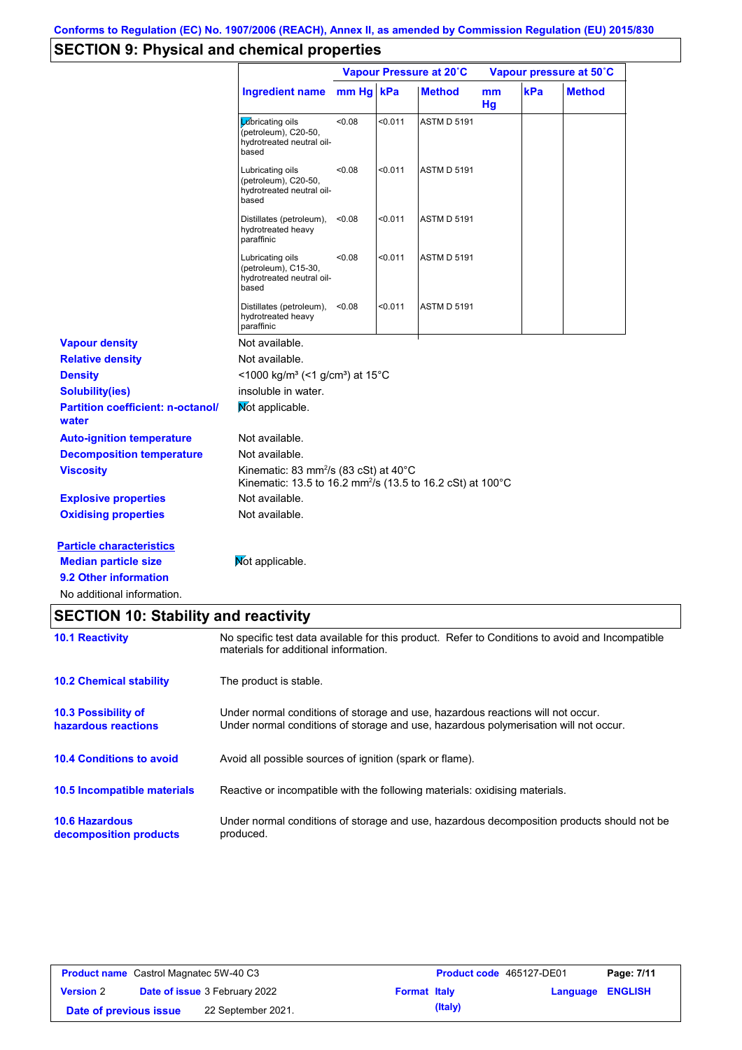# **SECTION 9: Physical and chemical properties**

|                                                                |                                                                                                                                                                         |        | Vapour Pressure at 20°C |                    |                      | Vapour pressure at 50°C |               |  |
|----------------------------------------------------------------|-------------------------------------------------------------------------------------------------------------------------------------------------------------------------|--------|-------------------------|--------------------|----------------------|-------------------------|---------------|--|
|                                                                | <b>Ingredient name</b>                                                                                                                                                  | mm Hg  | kPa                     | <b>Method</b>      | m <sub>m</sub><br>Hg | kPa                     | <b>Method</b> |  |
|                                                                | Lubricating oils<br>(petroleum), C20-50,<br>hydrotreated neutral oil-<br>based                                                                                          | 0.08   | < 0.011                 | <b>ASTM D 5191</b> |                      |                         |               |  |
|                                                                | Lubricating oils<br>(petroleum), C20-50,<br>hydrotreated neutral oil-<br>based                                                                                          | <0.08  | < 0.011                 | <b>ASTM D 5191</b> |                      |                         |               |  |
|                                                                | Distillates (petroleum),<br>hydrotreated heavy<br>paraffinic                                                                                                            | < 0.08 | < 0.011                 | <b>ASTM D 5191</b> |                      |                         |               |  |
|                                                                | Lubricating oils<br>(petroleum), C15-30,<br>hydrotreated neutral oil-<br>based                                                                                          | 0.08   | < 0.011                 | <b>ASTM D 5191</b> |                      |                         |               |  |
|                                                                | Distillates (petroleum),<br>hydrotreated heavy<br>paraffinic                                                                                                            | < 0.08 | $0.011$                 | <b>ASTM D 5191</b> |                      |                         |               |  |
| <b>Vapour density</b>                                          | Not available.                                                                                                                                                          |        |                         |                    |                      |                         |               |  |
| <b>Relative density</b>                                        | Not available.                                                                                                                                                          |        |                         |                    |                      |                         |               |  |
| <b>Density</b>                                                 | <1000 kg/m <sup>3</sup> (<1 g/cm <sup>3</sup> ) at 15 <sup>°</sup> C                                                                                                    |        |                         |                    |                      |                         |               |  |
| <b>Solubility(ies)</b>                                         | insoluble in water.                                                                                                                                                     |        |                         |                    |                      |                         |               |  |
| <b>Partition coefficient: n-octanol/</b><br>water              | Mot applicable.                                                                                                                                                         |        |                         |                    |                      |                         |               |  |
| <b>Auto-ignition temperature</b>                               | Not available.                                                                                                                                                          |        |                         |                    |                      |                         |               |  |
| <b>Decomposition temperature</b>                               | Not available.                                                                                                                                                          |        |                         |                    |                      |                         |               |  |
| <b>Viscosity</b>                                               | Kinematic: 83 mm <sup>2</sup> /s (83 cSt) at $40^{\circ}$ C<br>Kinematic: 13.5 to 16.2 mm <sup>2</sup> /s (13.5 to 16.2 cSt) at 100°C                                   |        |                         |                    |                      |                         |               |  |
| <b>Explosive properties</b>                                    | Not available.                                                                                                                                                          |        |                         |                    |                      |                         |               |  |
| <b>Oxidising properties</b>                                    | Not available.                                                                                                                                                          |        |                         |                    |                      |                         |               |  |
| <b>Particle characteristics</b><br><b>Median particle size</b> | Not applicable.                                                                                                                                                         |        |                         |                    |                      |                         |               |  |
| 9.2 Other information                                          |                                                                                                                                                                         |        |                         |                    |                      |                         |               |  |
| No additional information.                                     |                                                                                                                                                                         |        |                         |                    |                      |                         |               |  |
| <b>SECTION 10: Stability and reactivity</b>                    |                                                                                                                                                                         |        |                         |                    |                      |                         |               |  |
| <b>10.1 Reactivity</b>                                         | No specific test data available for this product. Refer to Conditions to avoid and Incompatible<br>materials for additional information.                                |        |                         |                    |                      |                         |               |  |
| <b>10.2 Chemical stability</b>                                 | The product is stable.                                                                                                                                                  |        |                         |                    |                      |                         |               |  |
| 10.3 Possibility of<br>hazardous reactions                     | Under normal conditions of storage and use, hazardous reactions will not occur.<br>Under normal conditions of storage and use, hazardous polymerisation will not occur. |        |                         |                    |                      |                         |               |  |

**10.4 Conditions to avoid** Avoid all possible sources of ignition (spark or flame).

**10.5 Incompatible materials** Reactive or incompatible with the following materials: oxidising materials.

**10.6 Hazardous decomposition products** Under normal conditions of storage and use, hazardous decomposition products should not be produced.

| <b>Product name</b> Castrol Magnatec 5W-40 C3 |  |                                      | Product code 465127-DE01 |         | Page: 7/11              |  |
|-----------------------------------------------|--|--------------------------------------|--------------------------|---------|-------------------------|--|
| <b>Version 2</b>                              |  | <b>Date of issue 3 February 2022</b> | <b>Format Italy</b>      |         | <b>Language ENGLISH</b> |  |
| Date of previous issue                        |  | 22 September 2021.                   |                          | (Italy) |                         |  |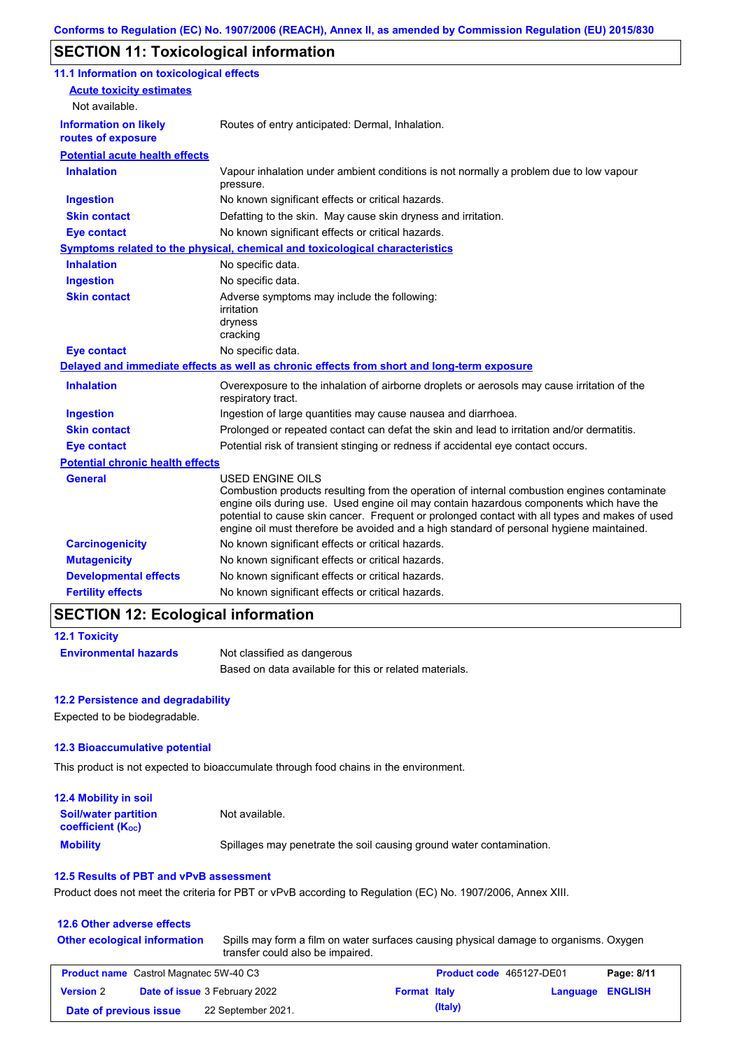# **SECTION 11: Toxicological information**

| 11.1 Information on toxicological effects          |                                                                                                                                                                                                                                                                                                                                                                                                                 |
|----------------------------------------------------|-----------------------------------------------------------------------------------------------------------------------------------------------------------------------------------------------------------------------------------------------------------------------------------------------------------------------------------------------------------------------------------------------------------------|
| <b>Acute toxicity estimates</b>                    |                                                                                                                                                                                                                                                                                                                                                                                                                 |
| Not available.                                     |                                                                                                                                                                                                                                                                                                                                                                                                                 |
| <b>Information on likely</b><br>routes of exposure | Routes of entry anticipated: Dermal, Inhalation.                                                                                                                                                                                                                                                                                                                                                                |
| <b>Potential acute health effects</b>              |                                                                                                                                                                                                                                                                                                                                                                                                                 |
| <b>Inhalation</b>                                  | Vapour inhalation under ambient conditions is not normally a problem due to low vapour                                                                                                                                                                                                                                                                                                                          |
|                                                    | pressure.                                                                                                                                                                                                                                                                                                                                                                                                       |
| <b>Ingestion</b>                                   | No known significant effects or critical hazards.                                                                                                                                                                                                                                                                                                                                                               |
| <b>Skin contact</b>                                | Defatting to the skin. May cause skin dryness and irritation.                                                                                                                                                                                                                                                                                                                                                   |
| <b>Eye contact</b>                                 | No known significant effects or critical hazards.                                                                                                                                                                                                                                                                                                                                                               |
|                                                    | <b>Symptoms related to the physical, chemical and toxicological characteristics</b>                                                                                                                                                                                                                                                                                                                             |
| <b>Inhalation</b>                                  | No specific data.                                                                                                                                                                                                                                                                                                                                                                                               |
| <b>Ingestion</b>                                   | No specific data.                                                                                                                                                                                                                                                                                                                                                                                               |
| <b>Skin contact</b>                                | Adverse symptoms may include the following:<br>irritation<br>dryness<br>cracking                                                                                                                                                                                                                                                                                                                                |
| <b>Eye contact</b>                                 | No specific data.                                                                                                                                                                                                                                                                                                                                                                                               |
|                                                    | Delayed and immediate effects as well as chronic effects from short and long-term exposure                                                                                                                                                                                                                                                                                                                      |
| <b>Inhalation</b>                                  | Overexposure to the inhalation of airborne droplets or aerosols may cause irritation of the<br>respiratory tract.                                                                                                                                                                                                                                                                                               |
| <b>Ingestion</b>                                   | Ingestion of large quantities may cause nausea and diarrhoea.                                                                                                                                                                                                                                                                                                                                                   |
| <b>Skin contact</b>                                | Prolonged or repeated contact can defat the skin and lead to irritation and/or dermatitis.                                                                                                                                                                                                                                                                                                                      |
| <b>Eye contact</b>                                 | Potential risk of transient stinging or redness if accidental eye contact occurs.                                                                                                                                                                                                                                                                                                                               |
| <b>Potential chronic health effects</b>            |                                                                                                                                                                                                                                                                                                                                                                                                                 |
| <b>General</b>                                     | <b>USED ENGINE OILS</b><br>Combustion products resulting from the operation of internal combustion engines contaminate<br>engine oils during use. Used engine oil may contain hazardous components which have the<br>potential to cause skin cancer. Frequent or prolonged contact with all types and makes of used<br>engine oil must therefore be avoided and a high standard of personal hygiene maintained. |
| <b>Carcinogenicity</b>                             | No known significant effects or critical hazards.                                                                                                                                                                                                                                                                                                                                                               |
| <b>Mutagenicity</b>                                | No known significant effects or critical hazards.                                                                                                                                                                                                                                                                                                                                                               |
| <b>Developmental effects</b>                       | No known significant effects or critical hazards.                                                                                                                                                                                                                                                                                                                                                               |
| <b>Fertility effects</b>                           | No known significant effects or critical hazards.                                                                                                                                                                                                                                                                                                                                                               |

### **SECTION 12: Ecological information**

| <b>12.1 Toxicity</b>         |                                                        |
|------------------------------|--------------------------------------------------------|
| <b>Environmental hazards</b> | Not classified as dangerous                            |
|                              | Based on data available for this or related materials. |

#### **12.2 Persistence and degradability**

Expected to be biodegradable.

#### **12.3 Bioaccumulative potential**

This product is not expected to bioaccumulate through food chains in the environment.

| <b>12.4 Mobility in soil</b>                            |                                                                      |
|---------------------------------------------------------|----------------------------------------------------------------------|
| <b>Soil/water partition</b><br><b>coefficient (Koc)</b> | Not available.                                                       |
| <b>Mobility</b>                                         | Spillages may penetrate the soil causing ground water contamination. |

### **12.5 Results of PBT and vPvB assessment**

Product does not meet the criteria for PBT or vPvB according to Regulation (EC) No. 1907/2006, Annex XIII.

### **12.6 Other adverse effects**

**Other ecological information**

Spills may form a film on water surfaces causing physical damage to organisms. Oxygen transfer could also be impaired.

| <b>Product name</b> Castrol Magnatec 5W-40 C3 |  |                                      | <b>Product code</b> 465127-DE01 |         | Page: 8/11       |  |
|-----------------------------------------------|--|--------------------------------------|---------------------------------|---------|------------------|--|
| <b>Version 2</b>                              |  | <b>Date of issue 3 February 2022</b> | <b>Format Italy</b>             |         | Language ENGLISH |  |
| Date of previous issue                        |  | 22 September 2021.                   |                                 | (Italy) |                  |  |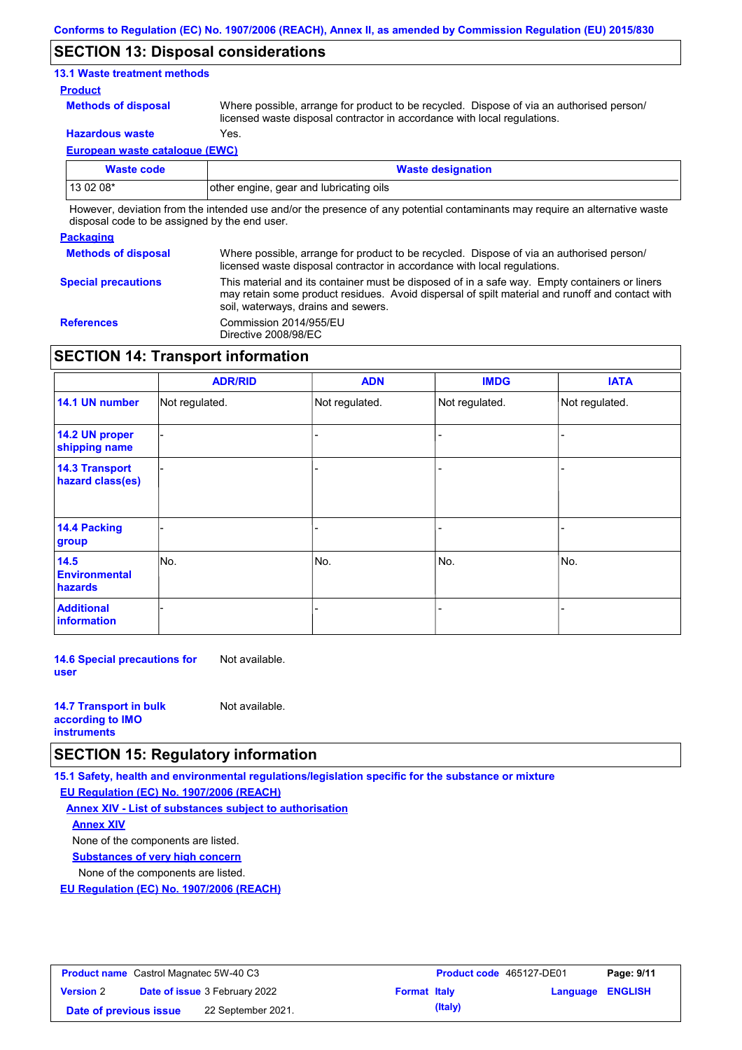## **SECTION 13: Disposal considerations**

### **13.1 Waste treatment methods**

#### **Product**

**Methods of disposal**

Where possible, arrange for product to be recycled. Dispose of via an authorised person/ licensed waste disposal contractor in accordance with local regulations.

**Hazardous waste** Yes.

**European waste catalogue (EWC)**

| Waste code                                                                                                                          | <b>Waste designation</b>                |  |  |
|-------------------------------------------------------------------------------------------------------------------------------------|-----------------------------------------|--|--|
| $130208*$                                                                                                                           | other engine, gear and lubricating oils |  |  |
| The contract deviation from the intended car analisation measure of anconstructed contended many manufacture and alternative county |                                         |  |  |

However, deviation from the intended use and/or the presence of any potential contaminants may require an alternative waste disposal code to be assigned by the end user.

#### **Packaging**

| <b>Methods of disposal</b> | Where possible, arrange for product to be recycled. Dispose of via an authorised person/<br>licensed waste disposal contractor in accordance with local regulations.                                                                    |
|----------------------------|-----------------------------------------------------------------------------------------------------------------------------------------------------------------------------------------------------------------------------------------|
| <b>Special precautions</b> | This material and its container must be disposed of in a safe way. Empty containers or liners<br>may retain some product residues. Avoid dispersal of spilt material and runoff and contact with<br>soil, waterways, drains and sewers. |
| <b>References</b>          | Commission 2014/955/EU<br>Directive 2008/98/EC                                                                                                                                                                                          |

## **SECTION 14: Transport information**

|                                                | <b>ADR/RID</b> | <b>ADN</b>     | <b>IMDG</b>    | <b>IATA</b>    |
|------------------------------------------------|----------------|----------------|----------------|----------------|
| 14.1 UN number                                 | Not regulated. | Not regulated. | Not regulated. | Not regulated. |
| 14.2 UN proper<br>shipping name                |                |                |                |                |
| <b>14.3 Transport</b><br>hazard class(es)      |                |                |                |                |
| <b>14.4 Packing</b><br>group                   |                |                |                |                |
| 14.5<br><b>Environmental</b><br><b>hazards</b> | No.            | No.            | No.            | No.            |
| <b>Additional</b><br>information               |                |                |                |                |

**14.6 Special precautions for user** Not available.

| <b>14.7 Transport in bulk</b> | Not available. |
|-------------------------------|----------------|
| according to <b>IMO</b>       |                |
| <b>instruments</b>            |                |

## **SECTION 15: Regulatory information**

**15.1 Safety, health and environmental regulations/legislation specific for the substance or mixture**

**EU Regulation (EC) No. 1907/2006 (REACH)**

**Annex XIV - List of substances subject to authorisation Substances of very high concern** None of the components are listed. None of the components are listed. **Annex XIV**

**EU Regulation (EC) No. 1907/2006 (REACH)**

| <b>Product name</b> Castrol Magnatec 5W-40 C3 |  |                                      | <b>Product code</b> 465127-DE01 |         | Page: 9/11              |  |
|-----------------------------------------------|--|--------------------------------------|---------------------------------|---------|-------------------------|--|
| <b>Version 2</b>                              |  | <b>Date of issue 3 February 2022</b> | <b>Format Italy</b>             |         | <b>Language ENGLISH</b> |  |
| Date of previous issue                        |  | 22 September 2021.                   |                                 | (Italy) |                         |  |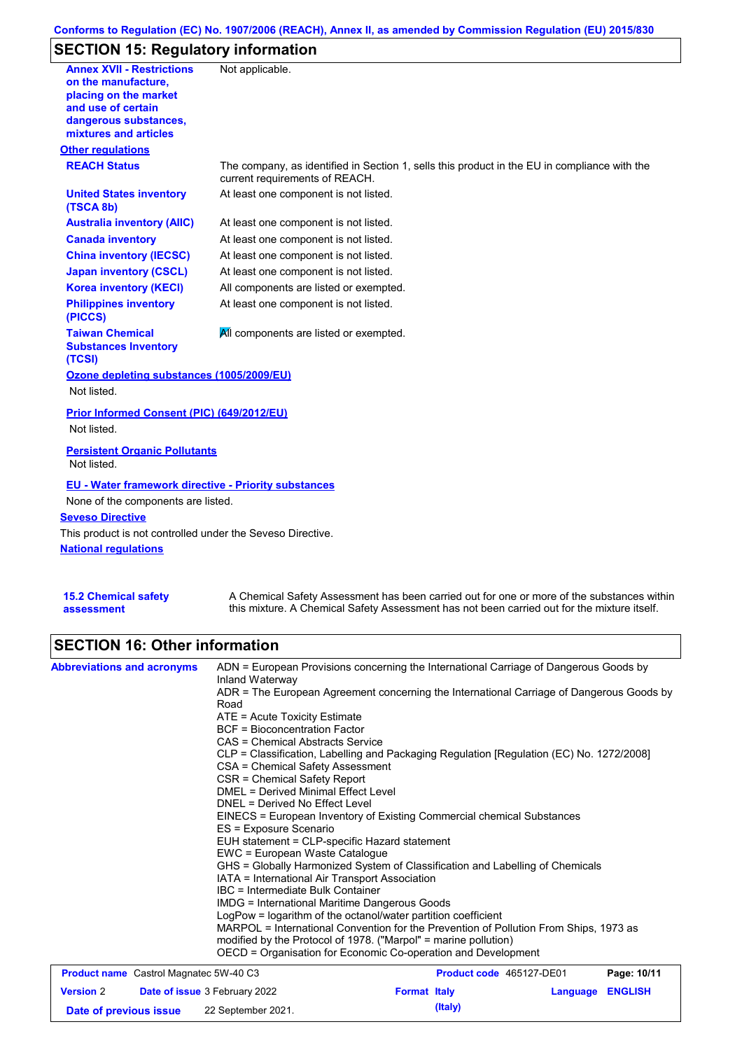## **Conforms to Regulation (EC) No. 1907/2006 (REACH), Annex II, as amended by Commission Regulation (EU) 2015/830**

# **SECTION 15: Regulatory information**

| <b>Annex XVII - Restrictions</b><br>on the manufacture.<br>placing on the market<br>and use of certain<br>dangerous substances,<br>mixtures and articles<br><b>Other regulations</b> | Not applicable.                                                                                                                |
|--------------------------------------------------------------------------------------------------------------------------------------------------------------------------------------|--------------------------------------------------------------------------------------------------------------------------------|
| <b>REACH Status</b>                                                                                                                                                                  | The company, as identified in Section 1, sells this product in the EU in compliance with the<br>current requirements of REACH. |
| <b>United States inventory</b><br>(TSCA 8b)                                                                                                                                          | At least one component is not listed.                                                                                          |
| <b>Australia inventory (AIIC)</b>                                                                                                                                                    | At least one component is not listed.                                                                                          |
| <b>Canada inventory</b>                                                                                                                                                              | At least one component is not listed.                                                                                          |
| <b>China inventory (IECSC)</b>                                                                                                                                                       | At least one component is not listed.                                                                                          |
| <b>Japan inventory (CSCL)</b>                                                                                                                                                        | At least one component is not listed.                                                                                          |
| <b>Korea inventory (KECI)</b>                                                                                                                                                        | All components are listed or exempted.                                                                                         |
| <b>Philippines inventory</b><br>(PICCS)                                                                                                                                              | At least one component is not listed.                                                                                          |
| <b>Taiwan Chemical</b><br><b>Substances Inventory</b><br>(TCSI)                                                                                                                      | All components are listed or exempted.                                                                                         |
| Ozone depleting substances (1005/2009/EU)<br>Not listed.                                                                                                                             |                                                                                                                                |
| Prior Informed Consent (PIC) (649/2012/EU)<br>Not listed.                                                                                                                            |                                                                                                                                |
| <b>Persistent Organic Pollutants</b><br>Not listed.                                                                                                                                  |                                                                                                                                |
| <b>EU - Water framework directive - Priority substances</b><br>None of the components are listed.<br><b>Seveso Directive</b>                                                         |                                                                                                                                |
| This product is not controlled under the Seveso Directive.                                                                                                                           |                                                                                                                                |
| <b>National requlations</b>                                                                                                                                                          |                                                                                                                                |
|                                                                                                                                                                                      |                                                                                                                                |

| <b>15.2 Chemical safety</b> | A Chemical Safety Assessment has been carried out for one or more of the substances within  |
|-----------------------------|---------------------------------------------------------------------------------------------|
| assessment                  | this mixture. A Chemical Safety Assessment has not been carried out for the mixture itself. |

# **SECTION 16: Other information**

| <b>Abbreviations and acronyms</b>                        | ADN = European Provisions concerning the International Carriage of Dangerous Goods by<br>Inland Waterway<br>ADR = The European Agreement concerning the International Carriage of Dangerous Goods by<br>Road<br>ATE = Acute Toxicity Estimate<br><b>BCF</b> = Bioconcentration Factor<br>CAS = Chemical Abstracts Service<br>CLP = Classification, Labelling and Packaging Regulation [Regulation (EC) No. 1272/2008]<br>CSA = Chemical Safety Assessment<br>CSR = Chemical Safety Report<br><b>DMEL = Derived Minimal Effect Level</b><br>DNEL = Derived No Effect Level<br>EINECS = European Inventory of Existing Commercial chemical Substances<br>ES = Exposure Scenario<br>EUH statement = CLP-specific Hazard statement<br>EWC = European Waste Catalogue<br>GHS = Globally Harmonized System of Classification and Labelling of Chemicals<br>IATA = International Air Transport Association<br>IBC = Intermediate Bulk Container<br><b>IMDG = International Maritime Dangerous Goods</b><br>LogPow = logarithm of the octanol/water partition coefficient<br>MARPOL = International Convention for the Prevention of Pollution From Ships, 1973 as<br>modified by the Protocol of 1978. ("Marpol" = marine pollution)<br>OECD = Organisation for Economic Co-operation and Development |                          |          |                |  |
|----------------------------------------------------------|------------------------------------------------------------------------------------------------------------------------------------------------------------------------------------------------------------------------------------------------------------------------------------------------------------------------------------------------------------------------------------------------------------------------------------------------------------------------------------------------------------------------------------------------------------------------------------------------------------------------------------------------------------------------------------------------------------------------------------------------------------------------------------------------------------------------------------------------------------------------------------------------------------------------------------------------------------------------------------------------------------------------------------------------------------------------------------------------------------------------------------------------------------------------------------------------------------------------------------------------------------------------------------------------|--------------------------|----------|----------------|--|
| <b>Product name</b> Castrol Magnatec 5W-40 C3            |                                                                                                                                                                                                                                                                                                                                                                                                                                                                                                                                                                                                                                                                                                                                                                                                                                                                                                                                                                                                                                                                                                                                                                                                                                                                                                | Product code 465127-DE01 |          | Page: 10/11    |  |
| <b>Date of issue 3 February 2022</b><br><b>Version 2</b> |                                                                                                                                                                                                                                                                                                                                                                                                                                                                                                                                                                                                                                                                                                                                                                                                                                                                                                                                                                                                                                                                                                                                                                                                                                                                                                | <b>Format Italy</b>      | Language | <b>ENGLISH</b> |  |

**Date of previous issue 22 September 2021. (Italy) (Italy)**